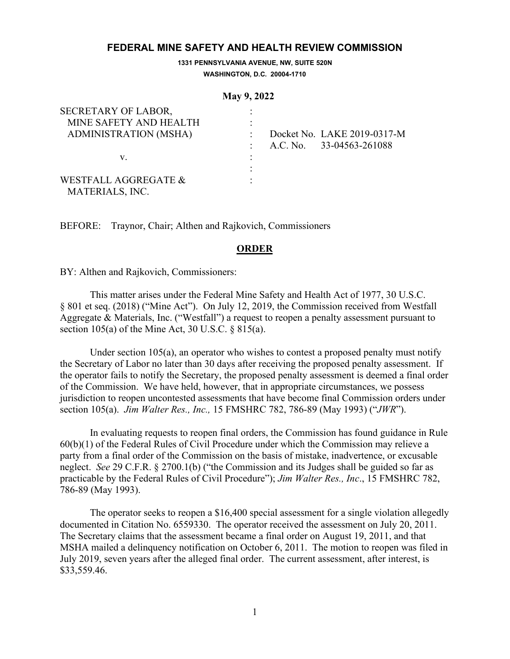## **FEDERAL MINE SAFETY AND HEALTH REVIEW COMMISSION**

**1331 PENNSYLVANIA AVENUE, NW, SUITE 520N WASHINGTON, D.C. 20004-1710**

#### **May 9, 2022**

| SECRETARY OF LABOR,                     |  |                             |
|-----------------------------------------|--|-----------------------------|
| MINE SAFETY AND HEALTH                  |  |                             |
| <b>ADMINISTRATION (MSHA)</b>            |  | Docket No. LAKE 2019-0317-M |
|                                         |  | A.C. No. 33-04563-261088    |
| V.                                      |  |                             |
|                                         |  |                             |
| WESTFALL AGGREGATE &<br>MATERIALS, INC. |  |                             |

BEFORE: Traynor, Chair; Althen and Rajkovich, Commissioners

## **ORDER**

BY: Althen and Rajkovich, Commissioners:

This matter arises under the Federal Mine Safety and Health Act of 1977, 30 U.S.C. § 801 et seq. (2018) ("Mine Act"). On July 12, 2019, the Commission received from Westfall Aggregate & Materials, Inc. ("Westfall") a request to reopen a penalty assessment pursuant to section 105(a) of the Mine Act, 30 U.S.C.  $\S 815(a)$ .

Under section 105(a), an operator who wishes to contest a proposed penalty must notify the Secretary of Labor no later than 30 days after receiving the proposed penalty assessment. If the operator fails to notify the Secretary, the proposed penalty assessment is deemed a final order of the Commission. We have held, however, that in appropriate circumstances, we possess jurisdiction to reopen uncontested assessments that have become final Commission orders under section 105(a). *Jim Walter Res., Inc.,* 15 FMSHRC 782, 786-89 (May 1993) ("*JWR*").

In evaluating requests to reopen final orders, the Commission has found guidance in Rule 60(b)(1) of the Federal Rules of Civil Procedure under which the Commission may relieve a party from a final order of the Commission on the basis of mistake, inadvertence, or excusable neglect. *See* 29 C.F.R. § 2700.1(b) ("the Commission and its Judges shall be guided so far as practicable by the Federal Rules of Civil Procedure"); *Jim Walter Res., Inc*., 15 FMSHRC 782, 786-89 (May 1993).

The operator seeks to reopen a \$16,400 special assessment for a single violation allegedly documented in Citation No. 6559330. The operator received the assessment on July 20, 2011. The Secretary claims that the assessment became a final order on August 19, 2011, and that MSHA mailed a delinquency notification on October 6, 2011. The motion to reopen was filed in July 2019, seven years after the alleged final order. The current assessment, after interest, is \$33,559.46.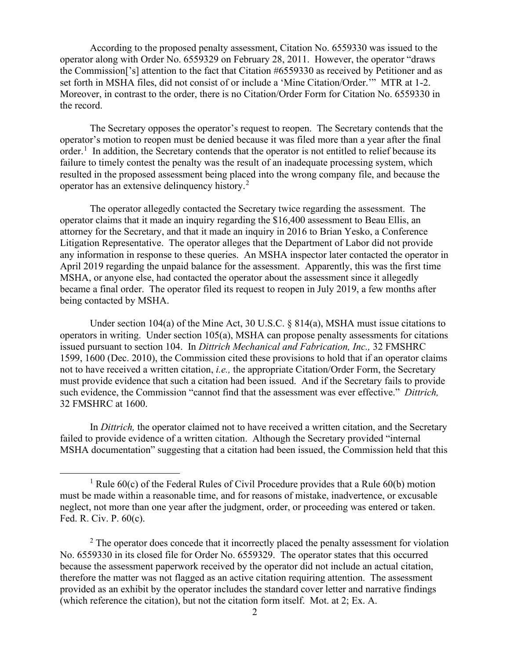According to the proposed penalty assessment, Citation No. 6559330 was issued to the operator along with Order No. 6559329 on February 28, 2011. However, the operator "draws the Commission['s] attention to the fact that Citation #6559330 as received by Petitioner and as set forth in MSHA files, did not consist of or include a 'Mine Citation/Order.'" MTR at 1-2. Moreover, in contrast to the order, there is no Citation/Order Form for Citation No. 6559330 in the record.

The Secretary opposes the operator's request to reopen. The Secretary contends that the operator's motion to reopen must be denied because it was filed more than a year after the final order.<sup>[1](#page-1-0)</sup> In addition, the Secretary contends that the operator is not entitled to relief because its failure to timely contest the penalty was the result of an inadequate processing system, which resulted in the proposed assessment being placed into the wrong company file, and because the operator has an extensive delinquency history.<sup>[2](#page-1-1)</sup>

The operator allegedly contacted the Secretary twice regarding the assessment. The operator claims that it made an inquiry regarding the \$16,400 assessment to Beau Ellis, an attorney for the Secretary, and that it made an inquiry in 2016 to Brian Yesko, a Conference Litigation Representative. The operator alleges that the Department of Labor did not provide any information in response to these queries. An MSHA inspector later contacted the operator in April 2019 regarding the unpaid balance for the assessment. Apparently, this was the first time MSHA, or anyone else, had contacted the operator about the assessment since it allegedly became a final order. The operator filed its request to reopen in July 2019, a few months after being contacted by MSHA.

Under section 104(a) of the Mine Act, 30 U.S.C. § 814(a), MSHA must issue citations to operators in writing. Under section 105(a), MSHA can propose penalty assessments for citations issued pursuant to section 104. In *Dittrich Mechanical and Fabrication, Inc.,* 32 FMSHRC 1599, 1600 (Dec. 2010), the Commission cited these provisions to hold that if an operator claims not to have received a written citation, *i.e.,* the appropriate Citation/Order Form, the Secretary must provide evidence that such a citation had been issued. And if the Secretary fails to provide such evidence, the Commission "cannot find that the assessment was ever effective." *Dittrich,*  32 FMSHRC at 1600.

In *Dittrich,* the operator claimed not to have received a written citation, and the Secretary failed to provide evidence of a written citation. Although the Secretary provided "internal MSHA documentation" suggesting that a citation had been issued, the Commission held that this

<span id="page-1-0"></span><sup>&</sup>lt;sup>1</sup> Rule  $60(c)$  of the Federal Rules of Civil Procedure provides that a Rule  $60(b)$  motion must be made within a reasonable time, and for reasons of mistake, inadvertence, or excusable neglect, not more than one year after the judgment, order, or proceeding was entered or taken. Fed. R. Civ. P. 60(c).

<span id="page-1-1"></span><sup>&</sup>lt;sup>2</sup> The operator does concede that it incorrectly placed the penalty assessment for violation No. 6559330 in its closed file for Order No. 6559329. The operator states that this occurred because the assessment paperwork received by the operator did not include an actual citation, therefore the matter was not flagged as an active citation requiring attention. The assessment provided as an exhibit by the operator includes the standard cover letter and narrative findings (which reference the citation), but not the citation form itself. Mot. at 2; Ex. A.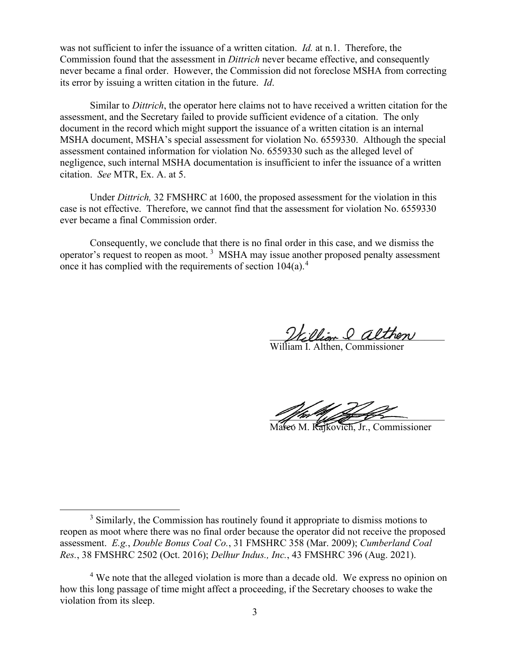was not sufficient to infer the issuance of a written citation. *Id.* at n.1. Therefore, the Commission found that the assessment in *Dittrich* never became effective, and consequently never became a final order. However, the Commission did not foreclose MSHA from correcting its error by issuing a written citation in the future. *Id*.

Similar to *Dittrich*, the operator here claims not to have received a written citation for the assessment, and the Secretary failed to provide sufficient evidence of a citation. The only document in the record which might support the issuance of a written citation is an internal MSHA document, MSHA's special assessment for violation No. 6559330. Although the special assessment contained information for violation No. 6559330 such as the alleged level of negligence, such internal MSHA documentation is insufficient to infer the issuance of a written citation. *See* MTR, Ex. A. at 5.

Under *Dittrich,* 32 FMSHRC at 1600, the proposed assessment for the violation in this case is not effective. Therefore, we cannot find that the assessment for violation No. 6559330 ever became a final Commission order.

Consequently, we conclude that there is no final order in this case, and we dismiss the operator's request to reopen as moot.<sup>[3](#page-2-0)</sup> MSHA may issue another proposed penalty assessment once it has complied with the requirements of section  $104(a)$  $104(a)$  $104(a)$ <sup>4</sup>.

William & althon

William I. Althen, Commissioner

 $\mathscr{L}$  for  $\mathscr{L}$ 

Mareo M. Rajkovich, Jr., Commissioner

<span id="page-2-1"></span><sup>4</sup> We note that the alleged violation is more than a decade old. We express no opinion on how this long passage of time might affect a proceeding, if the Secretary chooses to wake the violation from its sleep.

<span id="page-2-0"></span><sup>&</sup>lt;sup>3</sup> Similarly, the Commission has routinely found it appropriate to dismiss motions to reopen as moot where there was no final order because the operator did not receive the proposed assessment. *E.g.*, *Double Bonus Coal Co.*, 31 FMSHRC 358 (Mar. 2009); *Cumberland Coal Res.*, 38 FMSHRC 2502 (Oct. 2016); *Delhur Indus., Inc.*, 43 FMSHRC 396 (Aug. 2021).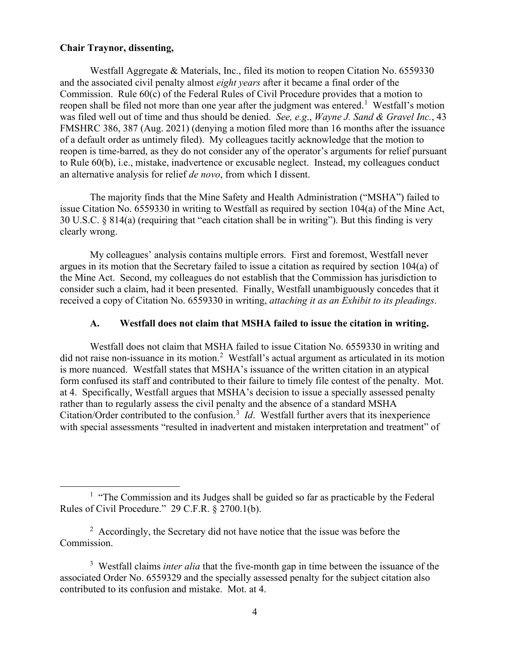#### **Chair Traynor, dissenting,**

Westfall Aggregate & Materials, Inc., filed its motion to reopen Citation No. 6559330 and the associated civil penalty almost *eight years* after it became a final order of the Commission. Rule 60(c) of the Federal Rules of Civil Procedure provides that a motion to reopen shall be filed not more than one year after the judgment was entered.<sup>[1](#page-3-0)</sup> Westfall's motion was filed well out of time and thus should be denied. *See, e.g*., *Wayne J. Sand & Gravel Inc.*, 43 FMSHRC 386, 387 (Aug. 2021) (denying a motion filed more than 16 months after the issuance of a default order as untimely filed). My colleagues tacitly acknowledge that the motion to reopen is time-barred, as they do not consider any of the operator's arguments for relief pursuant to Rule 60(b), i.e., mistake, inadvertence or excusable neglect. Instead, my colleagues conduct an alternative analysis for relief *de novo*, from which I dissent.

The majority finds that the Mine Safety and Health Administration ("MSHA") failed to issue Citation No. 6559330 in writing to Westfall as required by section 104(a) of the Mine Act, 30 U.S.C. § 814(a) (requiring that "each citation shall be in writing"). But this finding is very clearly wrong.

My colleagues' analysis contains multiple errors. First and foremost, Westfall never argues in its motion that the Secretary failed to issue a citation as required by section 104(a) of the Mine Act. Second, my colleagues do not establish that the Commission has jurisdiction to consider such a claim, had it been presented. Finally, Westfall unambiguously concedes that it received a copy of Citation No. 6559330 in writing, *attaching it as an Exhibit to its pleadings*.

### **A. Westfall does not claim that MSHA failed to issue the citation in writing.**

Westfall does not claim that MSHA failed to issue Citation No. 6559330 in writing and did not raise non-issuance in its motion.<sup>[2](#page-3-1)</sup> Westfall's actual argument as articulated in its motion is more nuanced. Westfall states that MSHA's issuance of the written citation in an atypical form confused its staff and contributed to their failure to timely file contest of the penalty. Mot. at 4. Specifically, Westfall argues that MSHA's decision to issue a specially assessed penalty rather than to regularly assess the civil penalty and the absence of a standard MSHA Citation/Order contributed to the confusion.<sup>[3](#page-3-2)</sup> *Id*. Westfall further avers that its inexperience with special assessments "resulted in inadvertent and mistaken interpretation and treatment" of

<span id="page-3-0"></span><sup>&</sup>lt;sup>1</sup> "The Commission and its Judges shall be guided so far as practicable by the Federal Rules of Civil Procedure." 29 C.F.R. § 2700.1(b).

<span id="page-3-1"></span> $2$  Accordingly, the Secretary did not have notice that the issue was before the Commission.

<span id="page-3-2"></span><sup>3</sup> Westfall claims *inter alia* that the five-month gap in time between the issuance of the associated Order No. 6559329 and the specially assessed penalty for the subject citation also contributed to its confusion and mistake. Mot. at 4.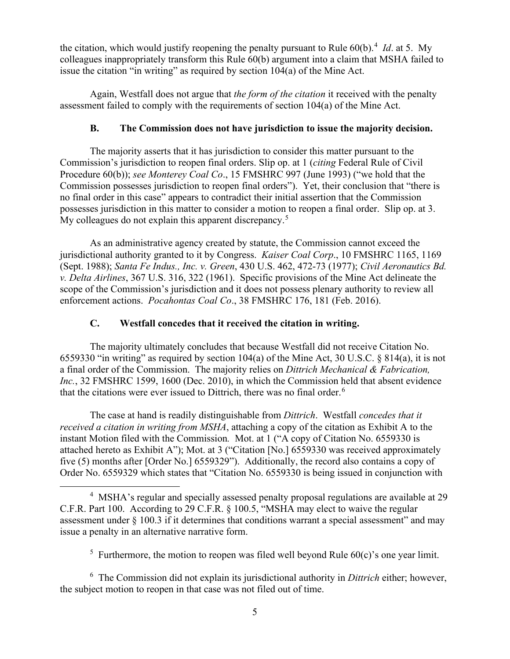the citation, which would justify reopening the penalty pursuant to Rule 60(b).<sup>[4](#page-4-0)</sup> *Id*. at 5. My colleagues inappropriately transform this Rule 60(b) argument into a claim that MSHA failed to issue the citation "in writing" as required by section 104(a) of the Mine Act.

Again, Westfall does not argue that *the form of the citation* it received with the penalty assessment failed to comply with the requirements of section 104(a) of the Mine Act.

## **B. The Commission does not have jurisdiction to issue the majority decision.**

The majority asserts that it has jurisdiction to consider this matter pursuant to the Commission's jurisdiction to reopen final orders. Slip op. at 1 (*citing* Federal Rule of Civil Procedure 60(b)); *see Monterey Coal Co*., 15 FMSHRC 997 (June 1993) ("we hold that the Commission possesses jurisdiction to reopen final orders"). Yet, their conclusion that "there is no final order in this case" appears to contradict their initial assertion that the Commission possesses jurisdiction in this matter to consider a motion to reopen a final order. Slip op. at 3. My colleagues do not explain this apparent discrepancy.<sup>[5](#page-4-1)</sup>

As an administrative agency created by statute, the Commission cannot exceed the jurisdictional authority granted to it by Congress. *Kaiser Coal Corp*., 10 FMSHRC 1165, 1169 (Sept. 1988); *Santa Fe Indus., Inc. v. Green*, 430 U.S. 462, 472-73 (1977); *Civil Aeronautics Bd. v. Delta Airlines*, 367 U.S. 316, 322 (1961). Specific provisions of the Mine Act delineate the scope of the Commission's jurisdiction and it does not possess plenary authority to review all enforcement actions. *Pocahontas Coal Co*., 38 FMSHRC 176, 181 (Feb. 2016).

# **C. Westfall concedes that it received the citation in writing.**

The majority ultimately concludes that because Westfall did not receive Citation No. 6559330 "in writing" as required by section 104(a) of the Mine Act, 30 U.S.C. § 814(a), it is not a final order of the Commission. The majority relies on *Dittrich Mechanical & Fabrication, Inc.*, 32 FMSHRC 1599, 1600 (Dec. 2010), in which the Commission held that absent evidence that the citations were ever issued to Dittrich, there was no final order.<sup>[6](#page-4-2)</sup>

The case at hand is readily distinguishable from *Dittrich*. Westfall *concedes that it received a citation in writing from MSHA*, attaching a copy of the citation as Exhibit A to the instant Motion filed with the Commission*.* Mot. at 1 ("A copy of Citation No. 6559330 is attached hereto as Exhibit A"); Mot. at 3 ("Citation [No.] 6559330 was received approximately five (5) months after [Order No.] 6559329"). Additionally, the record also contains a copy of Order No. 6559329 which states that "Citation No. 6559330 is being issued in conjunction with

<sup>5</sup> Furthermore, the motion to reopen was filed well beyond Rule  $60(c)$ 's one year limit.

<span id="page-4-2"></span><span id="page-4-1"></span>6 The Commission did not explain its jurisdictional authority in *Dittrich* either; however, the subject motion to reopen in that case was not filed out of time.

<span id="page-4-0"></span><sup>&</sup>lt;sup>4</sup> MSHA's regular and specially assessed penalty proposal regulations are available at 29 C.F.R. Part 100. According to 29 C.F.R. § 100.5, "MSHA may elect to waive the regular assessment under § 100.3 if it determines that conditions warrant a special assessment" and may issue a penalty in an alternative narrative form.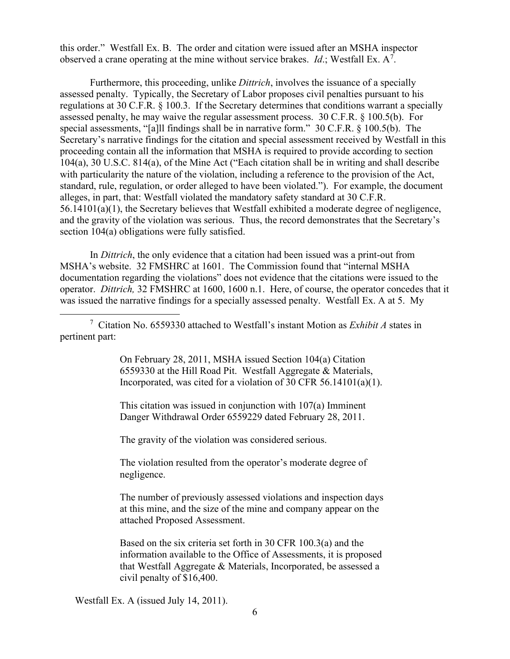this order." Westfall Ex. B. The order and citation were issued after an MSHA inspector observed a crane operating at the mine without service brakes. *Id*.; Westfall Ex.  $A^7$  $A^7$ .

Furthermore, this proceeding, unlike *Dittrich*, involves the issuance of a specially assessed penalty. Typically, the Secretary of Labor proposes civil penalties pursuant to his regulations at 30 C.F.R. § 100.3. If the Secretary determines that conditions warrant a specially assessed penalty, he may waive the regular assessment process. 30 C.F.R. § 100.5(b). For special assessments, "[a]ll findings shall be in narrative form." 30 C.F.R. § 100.5(b). The Secretary's narrative findings for the citation and special assessment received by Westfall in this proceeding contain all the information that MSHA is required to provide according to section 104(a), 30 U.S.C. 814(a), of the Mine Act ("Each citation shall be in writing and shall describe with particularity the nature of the violation, including a reference to the provision of the Act, standard, rule, regulation, or order alleged to have been violated."). For example, the document alleges, in part, that: Westfall violated the mandatory safety standard at 30 C.F.R. 56.14101(a)(1), the Secretary believes that Westfall exhibited a moderate degree of negligence, and the gravity of the violation was serious. Thus, the record demonstrates that the Secretary's section 104(a) obligations were fully satisfied.

In *Dittrich*, the only evidence that a citation had been issued was a print-out from MSHA's website. 32 FMSHRC at 1601. The Commission found that "internal MSHA documentation regarding the violations" does not evidence that the citations were issued to the operator. *Dittrich,* 32 FMSHRC at 1600, 1600 n.1. Here, of course, the operator concedes that it was issued the narrative findings for a specially assessed penalty. Westfall Ex. A at 5. My

<span id="page-5-0"></span>7 Citation No. 6559330 attached to Westfall's instant Motion as *Exhibit A* states in pertinent part:

> On February 28, 2011, MSHA issued Section 104(a) Citation 6559330 at the Hill Road Pit. Westfall Aggregate & Materials, Incorporated, was cited for a violation of 30 CFR 56.14101(a)(1).

This citation was issued in conjunction with 107(a) Imminent Danger Withdrawal Order 6559229 dated February 28, 2011.

The gravity of the violation was considered serious.

The violation resulted from the operator's moderate degree of negligence.

The number of previously assessed violations and inspection days at this mine, and the size of the mine and company appear on the attached Proposed Assessment.

Based on the six criteria set forth in 30 CFR 100.3(a) and the information available to the Office of Assessments, it is proposed that Westfall Aggregate & Materials, Incorporated, be assessed a civil penalty of \$16,400.

Westfall Ex. A (issued July 14, 2011).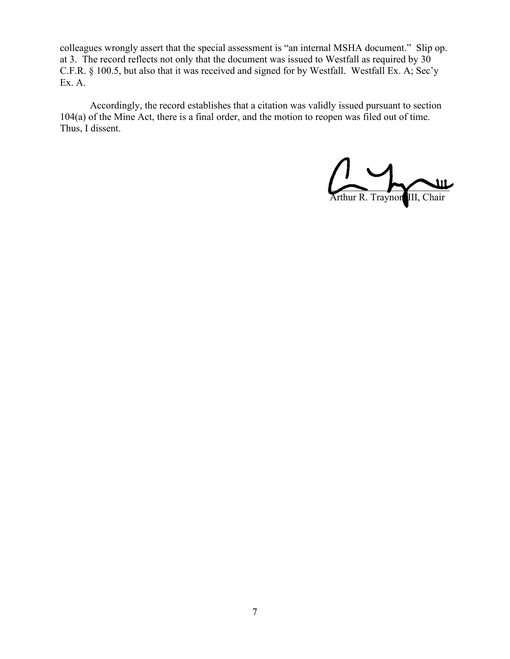colleagues wrongly assert that the special assessment is "an internal MSHA document." Slip op. at 3. The record reflects not only that the document was issued to Westfall as required by 30 C.F.R. § 100.5, but also that it was received and signed for by Westfall. Westfall Ex. A; Sec'y Ex. A.

Accordingly, the record establishes that a citation was validly issued pursuant to section 104(a) of the Mine Act, there is a final order, and the motion to reopen was filed out of time. Thus, I dissent.

 $\sim$   $\sim$   $\sim$ Arthur R. Traynor, III, Chair